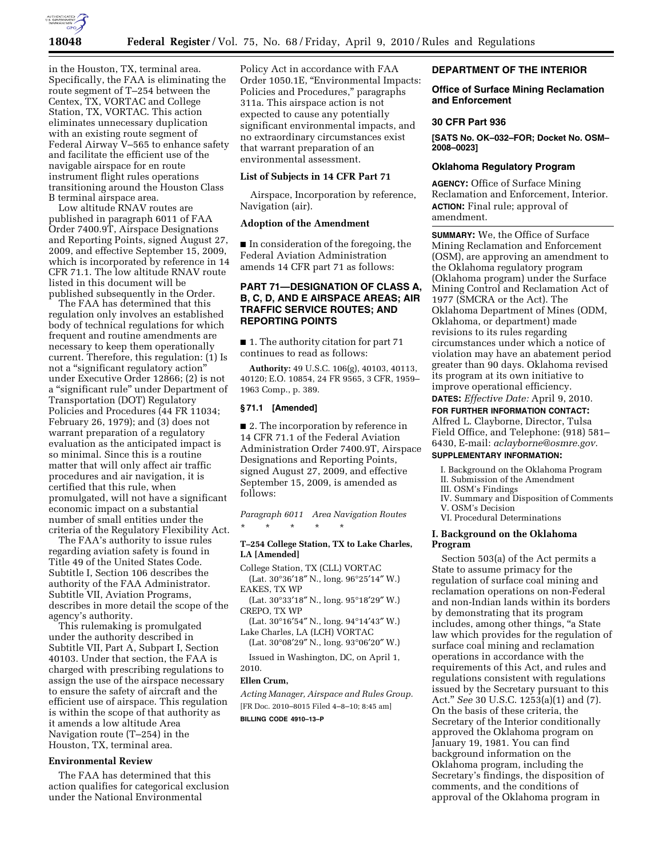

in the Houston, TX, terminal area. Specifically, the FAA is eliminating the route segment of T–254 between the Centex, TX, VORTAC and College Station, TX, VORTAC. This action eliminates unnecessary duplication with an existing route segment of Federal Airway V–565 to enhance safety and facilitate the efficient use of the navigable airspace for en route instrument flight rules operations transitioning around the Houston Class B terminal airspace area.

Low altitude RNAV routes are published in paragraph 6011 of FAA Order 7400.9T, Airspace Designations and Reporting Points, signed August 27, 2009, and effective September 15, 2009, which is incorporated by reference in 14 CFR 71.1. The low altitude RNAV route listed in this document will be published subsequently in the Order.

The FAA has determined that this regulation only involves an established body of technical regulations for which frequent and routine amendments are necessary to keep them operationally current. Therefore, this regulation: (1) Is not a ''significant regulatory action'' under Executive Order 12866; (2) is not a ''significant rule'' under Department of Transportation (DOT) Regulatory Policies and Procedures (44 FR 11034; February 26, 1979); and (3) does not warrant preparation of a regulatory evaluation as the anticipated impact is so minimal. Since this is a routine matter that will only affect air traffic procedures and air navigation, it is certified that this rule, when promulgated, will not have a significant economic impact on a substantial number of small entities under the criteria of the Regulatory Flexibility Act.

The FAA's authority to issue rules regarding aviation safety is found in Title 49 of the United States Code. Subtitle I, Section 106 describes the authority of the FAA Administrator. Subtitle VII, Aviation Programs, describes in more detail the scope of the agency's authority.

This rulemaking is promulgated under the authority described in Subtitle VII, Part A, Subpart I, Section 40103. Under that section, the FAA is charged with prescribing regulations to assign the use of the airspace necessary to ensure the safety of aircraft and the efficient use of airspace. This regulation is within the scope of that authority as it amends a low altitude Area Navigation route (T–254) in the Houston, TX, terminal area.

## **Environmental Review**

The FAA has determined that this action qualifies for categorical exclusion under the National Environmental

Policy Act in accordance with FAA Order 1050.1E, ''Environmental Impacts: Policies and Procedures,'' paragraphs 311a. This airspace action is not expected to cause any potentially significant environmental impacts, and no extraordinary circumstances exist that warrant preparation of an environmental assessment.

#### **List of Subjects in 14 CFR Part 71**

Airspace, Incorporation by reference, Navigation (air).

### **Adoption of the Amendment**

■ In consideration of the foregoing, the Federal Aviation Administration amends 14 CFR part 71 as follows:

## **PART 71—DESIGNATION OF CLASS A, B, C, D, AND E AIRSPACE AREAS; AIR TRAFFIC SERVICE ROUTES; AND REPORTING POINTS**

■ 1. The authority citation for part 71 continues to read as follows:

**Authority:** 49 U.S.C. 106(g), 40103, 40113, 40120; E.O. 10854, 24 FR 9565, 3 CFR, 1959– 1963 Comp., p. 389.

#### **§ 71.1 [Amended]**

■ 2. The incorporation by reference in 14 CFR 71.1 of the Federal Aviation Administration Order 7400.9T, Airspace Designations and Reporting Points, signed August 27, 2009, and effective September 15, 2009, is amended as follows:

*Paragraph 6011 Area Navigation Routes*  \* \* \* \* \*

### **T–254 College Station, TX to Lake Charles, LA [Amended]**

College Station, TX (CLL) VORTAC (Lat. 30°36′18″ N., long. 96°25′14″ W.) EAKES, TX WP

(Lat. 30°33′18″ N., long. 95°18′29″ W.) CREPO, TX WP

(Lat. 30°16′54″ N., long. 94°14′43″ W.) Lake Charles, LA (LCH) VORTAC

(Lat. 30°08′29″ N., long. 93°06′20″ W.)

Issued in Washington, DC, on April 1, 2010.

#### **Ellen Crum,**

*Acting Manager, Airspace and Rules Group.*  [FR Doc. 2010–8015 Filed 4–8–10; 8:45 am]

## **BILLING CODE 4910–13–P**

#### **DEPARTMENT OF THE INTERIOR**

### **Office of Surface Mining Reclamation and Enforcement**

#### **30 CFR Part 936**

**[SATS No. OK–032–FOR; Docket No. OSM– 2008–0023]** 

## **Oklahoma Regulatory Program**

**AGENCY:** Office of Surface Mining Reclamation and Enforcement, Interior. **ACTION:** Final rule; approval of amendment.

**SUMMARY:** We, the Office of Surface Mining Reclamation and Enforcement (OSM), are approving an amendment to the Oklahoma regulatory program (Oklahoma program) under the Surface Mining Control and Reclamation Act of 1977 (SMCRA or the Act). The Oklahoma Department of Mines (ODM, Oklahoma, or department) made revisions to its rules regarding circumstances under which a notice of violation may have an abatement period greater than 90 days. Oklahoma revised its program at its own initiative to improve operational efficiency.

# **DATES:** *Effective Date:* April 9, 2010.

**FOR FURTHER INFORMATION CONTACT:**  Alfred L. Clayborne, Director, Tulsa Field Office, and Telephone: (918) 581– 6430, E-mail: *aclayborne@osmre.gov.* 

## **SUPPLEMENTARY INFORMATION:**

- I. Background on the Oklahoma Program
- II. Submission of the Amendment
- III. OSM's Findings
- IV. Summary and Disposition of Comments
- V. OSM's Decision
- VI. Procedural Determinations

### **I. Background on the Oklahoma Program**

Section 503(a) of the Act permits a State to assume primacy for the regulation of surface coal mining and reclamation operations on non-Federal and non-Indian lands within its borders by demonstrating that its program includes, among other things, ''a State law which provides for the regulation of surface coal mining and reclamation operations in accordance with the requirements of this Act, and rules and regulations consistent with regulations issued by the Secretary pursuant to this Act.'' *See* 30 U.S.C. 1253(a)(1) and (7). On the basis of these criteria, the Secretary of the Interior conditionally approved the Oklahoma program on January 19, 1981. You can find background information on the Oklahoma program, including the Secretary's findings, the disposition of comments, and the conditions of approval of the Oklahoma program in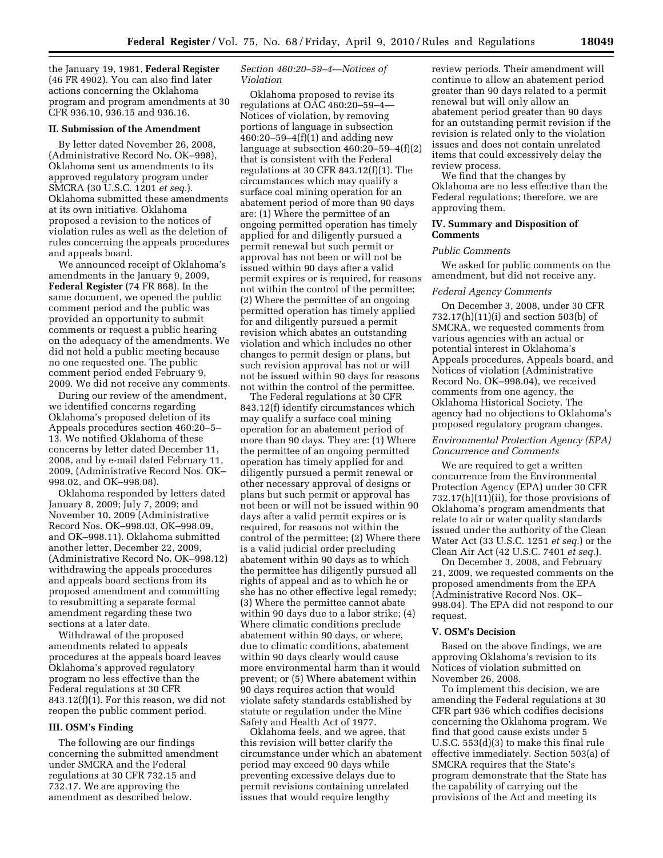the January 19, 1981, **Federal Register**  (46 FR 4902). You can also find later actions concerning the Oklahoma program and program amendments at 30 CFR 936.10, 936.15 and 936.16.

# **II. Submission of the Amendment**

By letter dated November 26, 2008, (Administrative Record No. OK–998), Oklahoma sent us amendments to its approved regulatory program under SMCRA (30 U.S.C. 1201 *et seq.*). Oklahoma submitted these amendments at its own initiative. Oklahoma proposed a revision to the notices of violation rules as well as the deletion of rules concerning the appeals procedures and appeals board.

We announced receipt of Oklahoma's amendments in the January 9, 2009, **Federal Register** (74 FR 868). In the same document, we opened the public comment period and the public was provided an opportunity to submit comments or request a public hearing on the adequacy of the amendments. We did not hold a public meeting because no one requested one. The public comment period ended February 9, 2009. We did not receive any comments.

During our review of the amendment, we identified concerns regarding Oklahoma's proposed deletion of its Appeals procedures section 460:20–5– 13. We notified Oklahoma of these concerns by letter dated December 11, 2008, and by e-mail dated February 11, 2009, (Administrative Record Nos. OK– 998.02, and OK–998.08).

Oklahoma responded by letters dated January 8, 2009; July 7, 2009; and November 10, 2009 (Administrative Record Nos. OK–998.03, OK–998.09, and OK–998.11). Oklahoma submitted another letter, December 22, 2009, (Administrative Record No. OK–998.12) withdrawing the appeals procedures and appeals board sections from its proposed amendment and committing to resubmitting a separate formal amendment regarding these two sections at a later date.

Withdrawal of the proposed amendments related to appeals procedures at the appeals board leaves Oklahoma's approved regulatory program no less effective than the Federal regulations at 30 CFR 843.12(f)(1). For this reason, we did not reopen the public comment period.

### **III. OSM's Finding**

The following are our findings concerning the submitted amendment under SMCRA and the Federal regulations at 30 CFR 732.15 and 732.17. We are approving the amendment as described below.

## *Section 460:20–59–4—Notices of Violation*

Oklahoma proposed to revise its regulations at OAC 460:20–59–4— Notices of violation, by removing portions of language in subsection 460:20–59–4 $(f)(1)$  and adding new language at subsection 460:20–59–4(f)(2) that is consistent with the Federal regulations at 30 CFR 843.12(f)(1). The circumstances which may qualify a surface coal mining operation for an abatement period of more than 90 days are: (1) Where the permittee of an ongoing permitted operation has timely applied for and diligently pursued a permit renewal but such permit or approval has not been or will not be issued within 90 days after a valid permit expires or is required, for reasons not within the control of the permittee; (2) Where the permittee of an ongoing permitted operation has timely applied for and diligently pursued a permit revision which abates an outstanding violation and which includes no other changes to permit design or plans, but such revision approval has not or will not be issued within 90 days for reasons not within the control of the permittee.

The Federal regulations at 30 CFR 843.12(f) identify circumstances which may qualify a surface coal mining operation for an abatement period of more than 90 days. They are: (1) Where the permittee of an ongoing permitted operation has timely applied for and diligently pursued a permit renewal or other necessary approval of designs or plans but such permit or approval has not been or will not be issued within 90 days after a valid permit expires or is required, for reasons not within the control of the permittee; (2) Where there is a valid judicial order precluding abatement within 90 days as to which the permittee has diligently pursued all rights of appeal and as to which he or she has no other effective legal remedy; (3) Where the permittee cannot abate within 90 days due to a labor strike; (4) Where climatic conditions preclude abatement within 90 days, or where, due to climatic conditions, abatement within 90 days clearly would cause more environmental harm than it would prevent; or (5) Where abatement within 90 days requires action that would violate safety standards established by statute or regulation under the Mine Safety and Health Act of 1977.

Oklahoma feels, and we agree, that this revision will better clarify the circumstance under which an abatement period may exceed 90 days while preventing excessive delays due to permit revisions containing unrelated issues that would require lengthy

review periods. Their amendment will continue to allow an abatement period greater than 90 days related to a permit renewal but will only allow an abatement period greater than 90 days for an outstanding permit revision if the revision is related only to the violation issues and does not contain unrelated items that could excessively delay the review process.

We find that the changes by Oklahoma are no less effective than the Federal regulations; therefore, we are approving them.

### **IV. Summary and Disposition of Comments**

### *Public Comments*

We asked for public comments on the amendment, but did not receive any.

### *Federal Agency Comments*

On December 3, 2008, under 30 CFR 732.17(h)(11)(i) and section 503(b) of SMCRA, we requested comments from various agencies with an actual or potential interest in Oklahoma's Appeals procedures, Appeals board, and Notices of violation (Administrative Record No. OK–998.04), we received comments from one agency, the Oklahoma Historical Society. The agency had no objections to Oklahoma's proposed regulatory program changes.

## *Environmental Protection Agency (EPA) Concurrence and Comments*

We are required to get a written concurrence from the Environmental Protection Agency (EPA) under 30 CFR 732.17(h)(11)(ii), for those provisions of Oklahoma's program amendments that relate to air or water quality standards issued under the authority of the Clean Water Act (33 U.S.C. 1251 *et seq.*) or the Clean Air Act (42 U.S.C. 7401 *et seq.*).

On December 3, 2008, and February 21, 2009, we requested comments on the proposed amendments from the EPA (Administrative Record Nos. OK– 998.04). The EPA did not respond to our request.

#### **V. OSM's Decision**

Based on the above findings, we are approving Oklahoma's revision to its Notices of violation submitted on November 26, 2008.

To implement this decision, we are amending the Federal regulations at 30 CFR part 936 which codifies decisions concerning the Oklahoma program. We find that good cause exists under 5 U.S.C. 553(d)(3) to make this final rule effective immediately. Section 503(a) of SMCRA requires that the State's program demonstrate that the State has the capability of carrying out the provisions of the Act and meeting its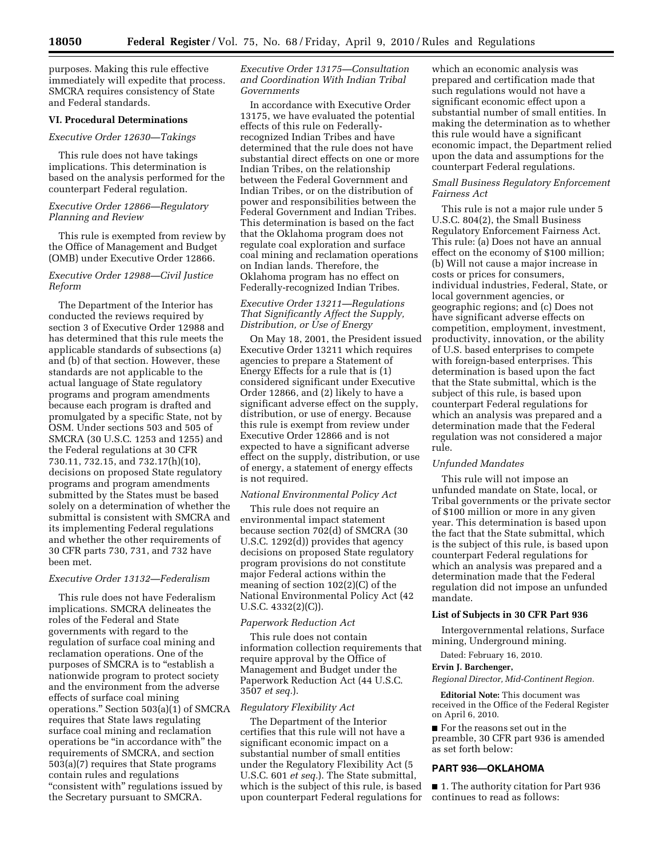purposes. Making this rule effective immediately will expedite that process. SMCRA requires consistency of State and Federal standards.

## **VI. Procedural Determinations**

## *Executive Order 12630—Takings*

This rule does not have takings implications. This determination is based on the analysis performed for the counterpart Federal regulation.

## *Executive Order 12866—Regulatory Planning and Review*

This rule is exempted from review by the Office of Management and Budget (OMB) under Executive Order 12866.

## *Executive Order 12988—Civil Justice Reform*

The Department of the Interior has conducted the reviews required by section 3 of Executive Order 12988 and has determined that this rule meets the applicable standards of subsections (a) and (b) of that section. However, these standards are not applicable to the actual language of State regulatory programs and program amendments because each program is drafted and promulgated by a specific State, not by OSM. Under sections 503 and 505 of SMCRA (30 U.S.C. 1253 and 1255) and the Federal regulations at 30 CFR 730.11, 732.15, and 732.17(h)(10), decisions on proposed State regulatory programs and program amendments submitted by the States must be based solely on a determination of whether the submittal is consistent with SMCRA and its implementing Federal regulations and whether the other requirements of 30 CFR parts 730, 731, and 732 have been met.

## *Executive Order 13132—Federalism*

This rule does not have Federalism implications. SMCRA delineates the roles of the Federal and State governments with regard to the regulation of surface coal mining and reclamation operations. One of the purposes of SMCRA is to "establish a nationwide program to protect society and the environment from the adverse effects of surface coal mining operations." Section  $503(a)(1)$  of SMCRA requires that State laws regulating surface coal mining and reclamation operations be ''in accordance with'' the requirements of SMCRA, and section 503(a)(7) requires that State programs contain rules and regulations "consistent with" regulations issued by the Secretary pursuant to SMCRA.

## *Executive Order 13175—Consultation and Coordination With Indian Tribal Governments*

In accordance with Executive Order 13175, we have evaluated the potential effects of this rule on Federallyrecognized Indian Tribes and have determined that the rule does not have substantial direct effects on one or more Indian Tribes, on the relationship between the Federal Government and Indian Tribes, or on the distribution of power and responsibilities between the Federal Government and Indian Tribes. This determination is based on the fact that the Oklahoma program does not regulate coal exploration and surface coal mining and reclamation operations on Indian lands. Therefore, the Oklahoma program has no effect on Federally-recognized Indian Tribes.

## *Executive Order 13211—Regulations That Significantly Affect the Supply, Distribution, or Use of Energy*

On May 18, 2001, the President issued Executive Order 13211 which requires agencies to prepare a Statement of Energy Effects for a rule that is (1) considered significant under Executive Order 12866, and (2) likely to have a significant adverse effect on the supply, distribution, or use of energy. Because this rule is exempt from review under Executive Order 12866 and is not expected to have a significant adverse effect on the supply, distribution, or use of energy, a statement of energy effects is not required.

## *National Environmental Policy Act*

This rule does not require an environmental impact statement because section 702(d) of SMCRA (30 U.S.C. 1292(d)) provides that agency decisions on proposed State regulatory program provisions do not constitute major Federal actions within the meaning of section 102(2)(C) of the National Environmental Policy Act (42 U.S.C. 4332(2)(C)).

## *Paperwork Reduction Act*

This rule does not contain information collection requirements that require approval by the Office of Management and Budget under the Paperwork Reduction Act (44 U.S.C. 3507 *et seq.*).

## *Regulatory Flexibility Act*

The Department of the Interior certifies that this rule will not have a significant economic impact on a substantial number of small entities under the Regulatory Flexibility Act (5 U.S.C. 601 *et seq.*). The State submittal, which is the subject of this rule, is based upon counterpart Federal regulations for

which an economic analysis was prepared and certification made that such regulations would not have a significant economic effect upon a substantial number of small entities. In making the determination as to whether this rule would have a significant economic impact, the Department relied upon the data and assumptions for the counterpart Federal regulations.

## *Small Business Regulatory Enforcement Fairness Act*

This rule is not a major rule under 5 U.S.C. 804(2), the Small Business Regulatory Enforcement Fairness Act. This rule: (a) Does not have an annual effect on the economy of \$100 million; (b) Will not cause a major increase in costs or prices for consumers, individual industries, Federal, State, or local government agencies, or geographic regions; and (c) Does not have significant adverse effects on competition, employment, investment, productivity, innovation, or the ability of U.S. based enterprises to compete with foreign-based enterprises. This determination is based upon the fact that the State submittal, which is the subject of this rule, is based upon counterpart Federal regulations for which an analysis was prepared and a determination made that the Federal regulation was not considered a major rule.

## *Unfunded Mandates*

This rule will not impose an unfunded mandate on State, local, or Tribal governments or the private sector of \$100 million or more in any given year. This determination is based upon the fact that the State submittal, which is the subject of this rule, is based upon counterpart Federal regulations for which an analysis was prepared and a determination made that the Federal regulation did not impose an unfunded mandate.

### **List of Subjects in 30 CFR Part 936**

Intergovernmental relations, Surface mining, Underground mining.

Dated: February 16, 2010.

### **Ervin J. Barchenger,**

*Regional Director, Mid-Continent Region.* 

**Editorial Note:** This document was received in the Office of the Federal Register on April 6, 2010.

■ For the reasons set out in the preamble, 30 CFR part 936 is amended as set forth below:

## **PART 936—OKLAHOMA**

■ 1. The authority citation for Part 936 continues to read as follows: